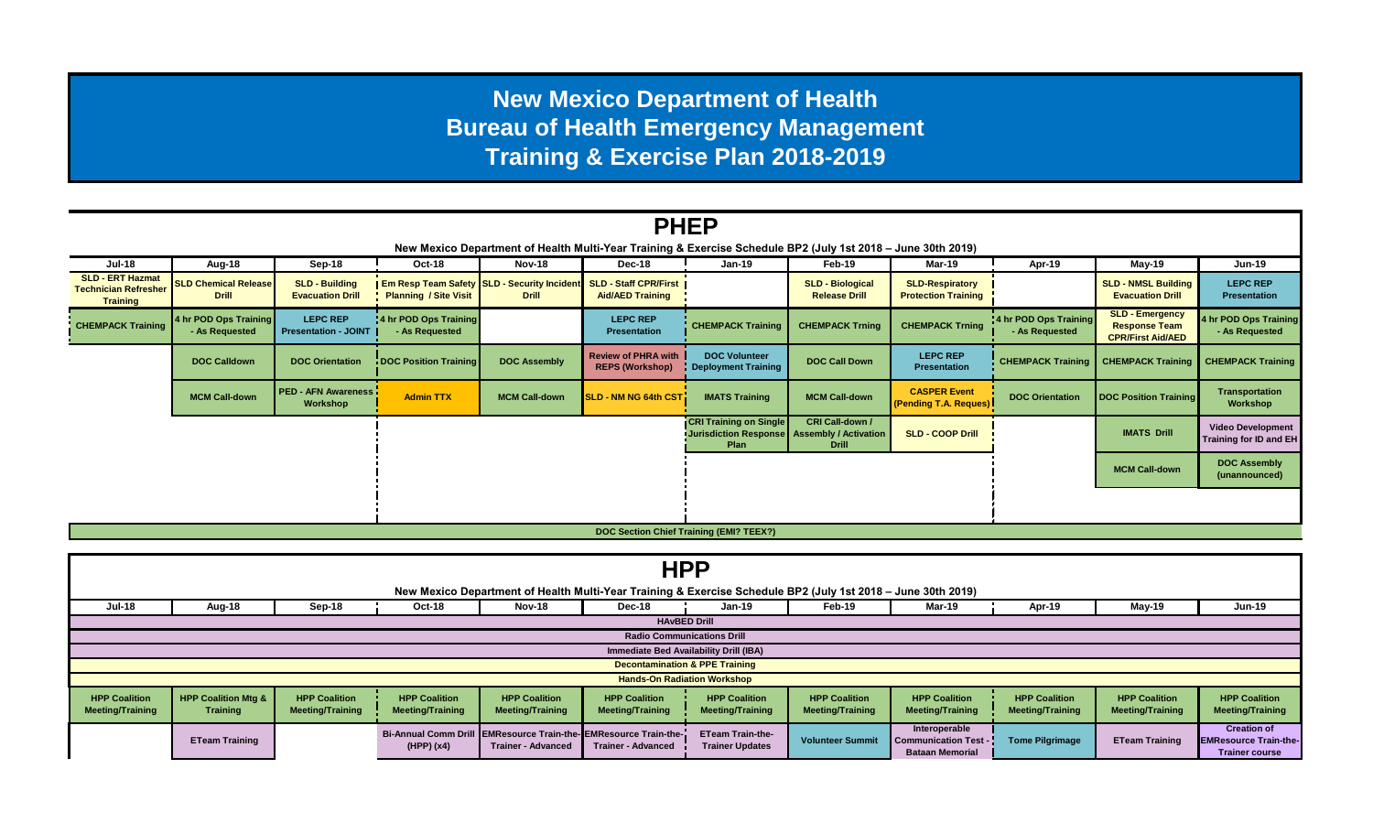## **New Mexico Department of Health Bureau of Health Emergency Management Training & Exercise Plan 2018-2019**

| <b>PHEP</b>                                                                                                  |                                             |                                                  |                                         |                                                                                   |                                                      |                                                                                        |                                                 |                                                      |                                         |                                                                            |                                                    |
|--------------------------------------------------------------------------------------------------------------|---------------------------------------------|--------------------------------------------------|-----------------------------------------|-----------------------------------------------------------------------------------|------------------------------------------------------|----------------------------------------------------------------------------------------|-------------------------------------------------|------------------------------------------------------|-----------------------------------------|----------------------------------------------------------------------------|----------------------------------------------------|
| New Mexico Department of Health Multi-Year Training & Exercise Schedule BP2 (July 1st 2018 - June 30th 2019) |                                             |                                                  |                                         |                                                                                   |                                                      |                                                                                        |                                                 |                                                      |                                         |                                                                            |                                                    |
| <b>Jul-18</b>                                                                                                | Aug-18                                      | Sep-18                                           | Oct-18                                  | <b>Nov-18</b>                                                                     | <b>Dec-18</b>                                        | <b>Jan-19</b>                                                                          | Feb-19                                          | Mar-19                                               | Apr-19                                  | May-19                                                                     | <b>Jun-19</b>                                      |
| <b>SLD - ERT Hazmat</b><br><b>Technician Refresher</b><br>Training                                           | <b>SLD Chemical Release</b><br><b>Drill</b> | <b>SLD - Building</b><br><b>Evacuation Drill</b> | <b>Planning / Site Visit</b>            | Em Resp Team Safety SLD - Security Incident SLD - Staff CPR/First<br><b>Drill</b> | <b>Aid/AED Training</b>                              |                                                                                        | <b>SLD - Biological</b><br><b>Release Drill</b> | <b>SLD-Respiratory</b><br><b>Protection Training</b> |                                         | <b>SLD - NMSL Building</b><br><b>Evacuation Drill</b>                      | <b>LEPC REP</b><br><b>Presentation</b>             |
| <b>CHEMPACK Training</b>                                                                                     | 4 hr POD Ops Training<br>- As Requested     | <b>LEPC REP</b><br><b>Presentation - JOINT</b>   | 4 hr POD Ops Training<br>- As Requested |                                                                                   | <b>LEPC REP</b><br><b>Presentation</b>               | <b>CHEMPACK Training</b>                                                               | <b>CHEMPACK Trning</b>                          | <b>CHEMPACK Trning</b>                               | 4 hr POD Ops Training<br>- As Requested | <b>SLD - Emergency</b><br><b>Response Team</b><br><b>CPR/First Aid/AED</b> | 4 hr POD Ops Training<br>- As Requested            |
|                                                                                                              | <b>DOC Calldown</b>                         | <b>DOC Orientation</b>                           | DOC Position Training                   | <b>DOC Assembly</b>                                                               | <b>Review of PHRA with</b><br><b>REPS (Workshop)</b> | <b>DOC Volunteer</b><br>Deployment Training                                            | <b>DOC Call Down</b>                            | <b>LEPC REP</b><br><b>Presentation</b>               | <b>CHEMPACK Training</b>                | <b>CHEMPACK Training</b>                                                   | <b>CHEMPACK Training</b>                           |
|                                                                                                              | <b>MCM Call-down</b>                        | <b>PED - AFN Awareness</b><br>Workshop           | <b>Admin TTX</b>                        | <b>MCM Call-down</b>                                                              | SLD - NM NG 64th CST                                 | <b>IMATS Training</b>                                                                  | <b>MCM Call-down</b>                            | <b>CASPER Event</b><br>(Pending T.A. Reques)         | <b>DOC Orientation</b>                  | <b>DOC Position Training</b>                                               | <b>Transportation</b><br>Workshop                  |
|                                                                                                              |                                             |                                                  |                                         |                                                                                   |                                                      | <b>CRI Training on Single</b><br>Jurisdiction Response   Assembly / Activation<br>Plan | <b>CRI Call-down /</b><br><b>Drill</b>          | <b>SLD - COOP Drill</b>                              |                                         | <b>IMATS Drill</b>                                                         | <b>Video Development</b><br>Training for ID and EH |
|                                                                                                              |                                             |                                                  |                                         |                                                                                   |                                                      |                                                                                        |                                                 |                                                      | <b>MCM Call-down</b>                    | <b>DOC Assembly</b><br>(unannounced)                                       |                                                    |
|                                                                                                              |                                             |                                                  |                                         |                                                                                   |                                                      |                                                                                        |                                                 |                                                      |                                         |                                                                            |                                                    |
| DOC Section Chief Training (EMI? TEEX?)                                                                      |                                             |                                                  |                                         |                                                                                   |                                                      |                                                                                        |                                                 |                                                      |                                         |                                                                            |                                                    |

|                                                                                                              | <b>HPP</b>                                 |                                                 |                                                 |                                                 |                                                                                              |                                                   |                                                 |                                                                        |                                                 |                                                 |                                                                             |
|--------------------------------------------------------------------------------------------------------------|--------------------------------------------|-------------------------------------------------|-------------------------------------------------|-------------------------------------------------|----------------------------------------------------------------------------------------------|---------------------------------------------------|-------------------------------------------------|------------------------------------------------------------------------|-------------------------------------------------|-------------------------------------------------|-----------------------------------------------------------------------------|
| New Mexico Department of Health Multi-Year Training & Exercise Schedule BP2 (July 1st 2018 - June 30th 2019) |                                            |                                                 |                                                 |                                                 |                                                                                              |                                                   |                                                 |                                                                        |                                                 |                                                 |                                                                             |
| <b>Jul-18</b>                                                                                                | Aug-18                                     | Sep-18                                          | Oct-18                                          | Nov-18                                          | Dec-18                                                                                       | Jan-19                                            | Feb-19                                          | Mar-19                                                                 | Apr-19                                          | May-19                                          | <b>Jun-19</b>                                                               |
|                                                                                                              | <b>HAvBED Drill</b>                        |                                                 |                                                 |                                                 |                                                                                              |                                                   |                                                 |                                                                        |                                                 |                                                 |                                                                             |
| <b>Radio Communications Drill</b>                                                                            |                                            |                                                 |                                                 |                                                 |                                                                                              |                                                   |                                                 |                                                                        |                                                 |                                                 |                                                                             |
| Immediate Bed Availability Drill (IBA)                                                                       |                                            |                                                 |                                                 |                                                 |                                                                                              |                                                   |                                                 |                                                                        |                                                 |                                                 |                                                                             |
|                                                                                                              | <b>Decontamination &amp; PPE Training</b>  |                                                 |                                                 |                                                 |                                                                                              |                                                   |                                                 |                                                                        |                                                 |                                                 |                                                                             |
| <b>Hands-On Radiation Workshop</b>                                                                           |                                            |                                                 |                                                 |                                                 |                                                                                              |                                                   |                                                 |                                                                        |                                                 |                                                 |                                                                             |
| <b>HPP Coalition</b><br><b>Meeting/Training</b>                                                              | <b>HPP Coalition Mtg &amp;</b><br>Training | <b>HPP Coalition</b><br><b>Meeting/Training</b> | <b>HPP Coalition</b><br><b>Meeting/Training</b> | <b>HPP Coalition</b><br><b>Meeting/Training</b> | <b>HPP Coalition</b><br><b>Meeting/Training</b>                                              | <b>HPP Coalition</b><br><b>Meeting/Training</b>   | <b>HPP Coalition</b><br><b>Meeting/Training</b> | <b>HPP Coalition</b><br><b>Meeting/Training</b>                        | <b>HPP Coalition</b><br><b>Meeting/Training</b> | <b>HPP Coalition</b><br><b>Meeting/Training</b> | <b>HPP Coalition</b><br><b>Meeting/Training</b>                             |
|                                                                                                              | <b>ETeam Training</b>                      |                                                 | (HPP)(x4)                                       | <b>Trainer - Advanced</b>                       | Bi-Annual Comm Drill EMResource Train-the-EMResource Train-the-<br><b>Trainer - Advanced</b> | <b>ETeam Train-the-</b><br><b>Trainer Updates</b> | <b>Volunteer Summit</b>                         | Interoperable<br><b>Communication Test -</b><br><b>Bataan Memorial</b> | <b>Tome Pilgrimage</b>                          | <b>ETeam Training</b>                           | <b>Creation of</b><br><b>EMResource Train-the-</b><br><b>Trainer course</b> |